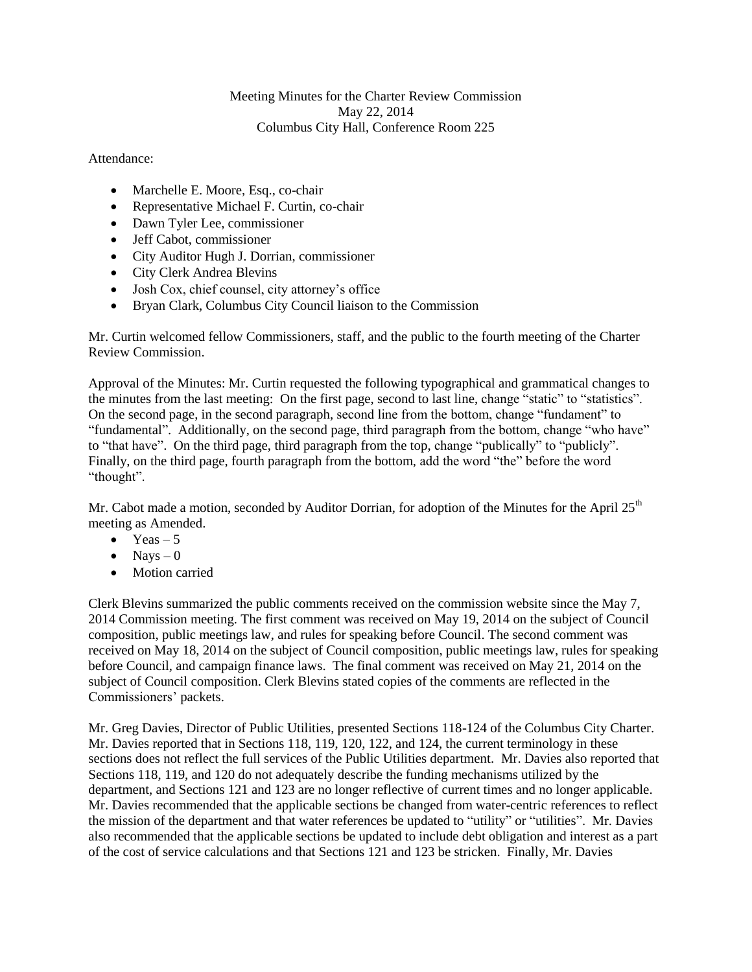## Meeting Minutes for the Charter Review Commission May 22, 2014 Columbus City Hall, Conference Room 225

## Attendance:

- Marchelle E. Moore, Esq., co-chair
- Representative Michael F. Curtin, co-chair
- Dawn Tyler Lee, commissioner
- Jeff Cabot, commissioner
- City Auditor Hugh J. Dorrian, commissioner
- City Clerk Andrea Blevins
- Josh Cox, chief counsel, city attorney's office
- Bryan Clark, Columbus City Council liaison to the Commission

Mr. Curtin welcomed fellow Commissioners, staff, and the public to the fourth meeting of the Charter Review Commission.

Approval of the Minutes: Mr. Curtin requested the following typographical and grammatical changes to the minutes from the last meeting: On the first page, second to last line, change "static" to "statistics". On the second page, in the second paragraph, second line from the bottom, change "fundament" to "fundamental". Additionally, on the second page, third paragraph from the bottom, change "who have" to "that have". On the third page, third paragraph from the top, change "publically" to "publicly". Finally, on the third page, fourth paragraph from the bottom, add the word "the" before the word "thought".

Mr. Cabot made a motion, seconded by Auditor Dorrian, for adoption of the Minutes for the April  $25<sup>th</sup>$ meeting as Amended.

- $\bullet$  Yeas 5
- $\bullet$  Navs 0
- Motion carried

Clerk Blevins summarized the public comments received on the commission website since the May 7, 2014 Commission meeting. The first comment was received on May 19, 2014 on the subject of Council composition, public meetings law, and rules for speaking before Council. The second comment was received on May 18, 2014 on the subject of Council composition, public meetings law, rules for speaking before Council, and campaign finance laws. The final comment was received on May 21, 2014 on the subject of Council composition. Clerk Blevins stated copies of the comments are reflected in the Commissioners' packets.

Mr. Greg Davies, Director of Public Utilities, presented Sections 118-124 of the Columbus City Charter. Mr. Davies reported that in Sections 118, 119, 120, 122, and 124, the current terminology in these sections does not reflect the full services of the Public Utilities department. Mr. Davies also reported that Sections 118, 119, and 120 do not adequately describe the funding mechanisms utilized by the department, and Sections 121 and 123 are no longer reflective of current times and no longer applicable. Mr. Davies recommended that the applicable sections be changed from water-centric references to reflect the mission of the department and that water references be updated to "utility" or "utilities". Mr. Davies also recommended that the applicable sections be updated to include debt obligation and interest as a part of the cost of service calculations and that Sections 121 and 123 be stricken. Finally, Mr. Davies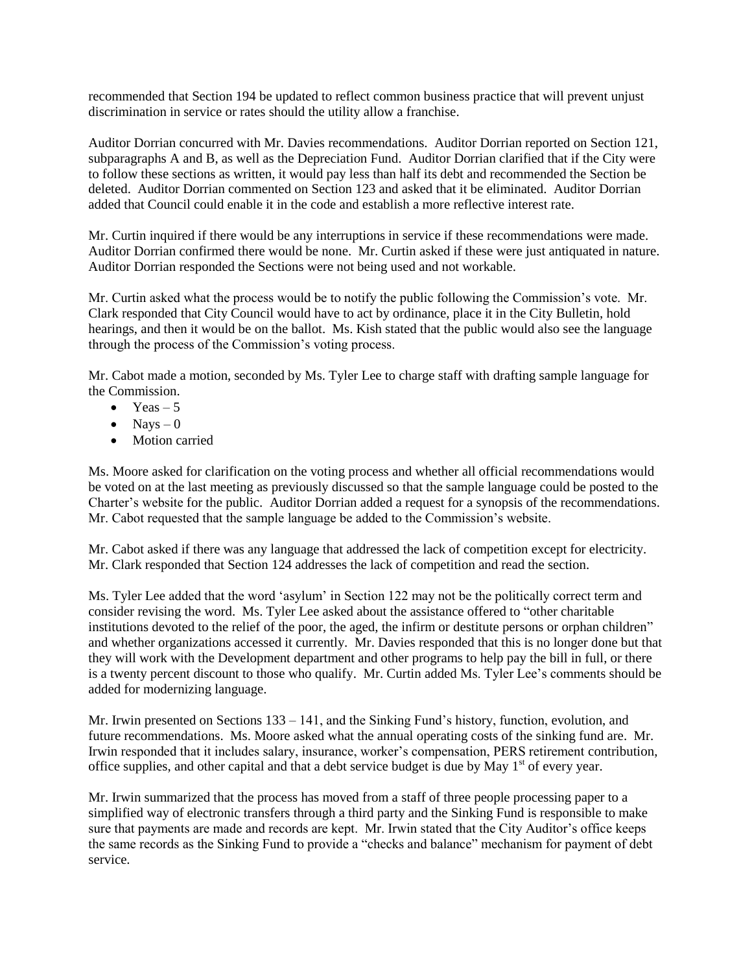recommended that Section 194 be updated to reflect common business practice that will prevent unjust discrimination in service or rates should the utility allow a franchise.

Auditor Dorrian concurred with Mr. Davies recommendations. Auditor Dorrian reported on Section 121, subparagraphs A and B, as well as the Depreciation Fund. Auditor Dorrian clarified that if the City were to follow these sections as written, it would pay less than half its debt and recommended the Section be deleted. Auditor Dorrian commented on Section 123 and asked that it be eliminated. Auditor Dorrian added that Council could enable it in the code and establish a more reflective interest rate.

Mr. Curtin inquired if there would be any interruptions in service if these recommendations were made. Auditor Dorrian confirmed there would be none. Mr. Curtin asked if these were just antiquated in nature. Auditor Dorrian responded the Sections were not being used and not workable.

Mr. Curtin asked what the process would be to notify the public following the Commission's vote. Mr. Clark responded that City Council would have to act by ordinance, place it in the City Bulletin, hold hearings, and then it would be on the ballot. Ms. Kish stated that the public would also see the language through the process of the Commission's voting process.

Mr. Cabot made a motion, seconded by Ms. Tyler Lee to charge staff with drafting sample language for the Commission.

- $\bullet$  Yeas 5
- $\bullet$  Nays  $-0$
- Motion carried

Ms. Moore asked for clarification on the voting process and whether all official recommendations would be voted on at the last meeting as previously discussed so that the sample language could be posted to the Charter's website for the public. Auditor Dorrian added a request for a synopsis of the recommendations. Mr. Cabot requested that the sample language be added to the Commission's website.

Mr. Cabot asked if there was any language that addressed the lack of competition except for electricity. Mr. Clark responded that Section 124 addresses the lack of competition and read the section.

Ms. Tyler Lee added that the word 'asylum' in Section 122 may not be the politically correct term and consider revising the word. Ms. Tyler Lee asked about the assistance offered to "other charitable institutions devoted to the relief of the poor, the aged, the infirm or destitute persons or orphan children" and whether organizations accessed it currently. Mr. Davies responded that this is no longer done but that they will work with the Development department and other programs to help pay the bill in full, or there is a twenty percent discount to those who qualify. Mr. Curtin added Ms. Tyler Lee's comments should be added for modernizing language.

Mr. Irwin presented on Sections 133 – 141, and the Sinking Fund's history, function, evolution, and future recommendations. Ms. Moore asked what the annual operating costs of the sinking fund are. Mr. Irwin responded that it includes salary, insurance, worker's compensation, PERS retirement contribution, office supplies, and other capital and that a debt service budget is due by May  $1<sup>st</sup>$  of every year.

Mr. Irwin summarized that the process has moved from a staff of three people processing paper to a simplified way of electronic transfers through a third party and the Sinking Fund is responsible to make sure that payments are made and records are kept. Mr. Irwin stated that the City Auditor's office keeps the same records as the Sinking Fund to provide a "checks and balance" mechanism for payment of debt service.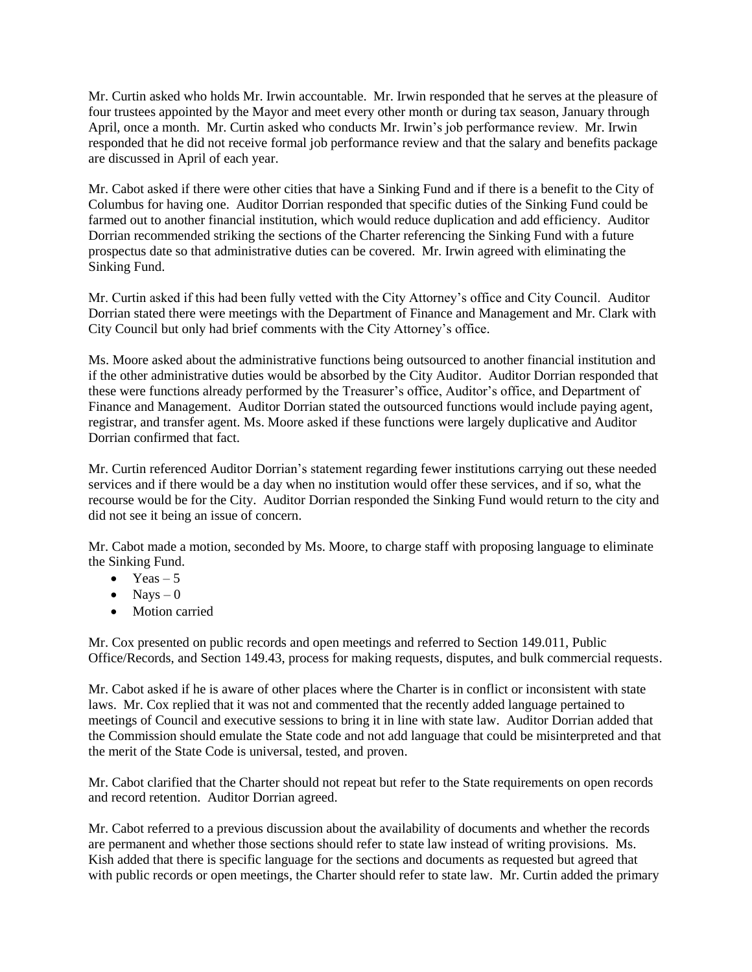Mr. Curtin asked who holds Mr. Irwin accountable. Mr. Irwin responded that he serves at the pleasure of four trustees appointed by the Mayor and meet every other month or during tax season, January through April, once a month. Mr. Curtin asked who conducts Mr. Irwin's job performance review. Mr. Irwin responded that he did not receive formal job performance review and that the salary and benefits package are discussed in April of each year.

Mr. Cabot asked if there were other cities that have a Sinking Fund and if there is a benefit to the City of Columbus for having one. Auditor Dorrian responded that specific duties of the Sinking Fund could be farmed out to another financial institution, which would reduce duplication and add efficiency. Auditor Dorrian recommended striking the sections of the Charter referencing the Sinking Fund with a future prospectus date so that administrative duties can be covered. Mr. Irwin agreed with eliminating the Sinking Fund.

Mr. Curtin asked if this had been fully vetted with the City Attorney's office and City Council. Auditor Dorrian stated there were meetings with the Department of Finance and Management and Mr. Clark with City Council but only had brief comments with the City Attorney's office.

Ms. Moore asked about the administrative functions being outsourced to another financial institution and if the other administrative duties would be absorbed by the City Auditor. Auditor Dorrian responded that these were functions already performed by the Treasurer's office, Auditor's office, and Department of Finance and Management. Auditor Dorrian stated the outsourced functions would include paying agent, registrar, and transfer agent. Ms. Moore asked if these functions were largely duplicative and Auditor Dorrian confirmed that fact.

Mr. Curtin referenced Auditor Dorrian's statement regarding fewer institutions carrying out these needed services and if there would be a day when no institution would offer these services, and if so, what the recourse would be for the City. Auditor Dorrian responded the Sinking Fund would return to the city and did not see it being an issue of concern.

Mr. Cabot made a motion, seconded by Ms. Moore, to charge staff with proposing language to eliminate the Sinking Fund.

- $\bullet$  Yeas 5
- $\bullet$  Nays  $-0$
- Motion carried

Mr. Cox presented on public records and open meetings and referred to Section 149.011, Public Office/Records, and Section 149.43, process for making requests, disputes, and bulk commercial requests.

Mr. Cabot asked if he is aware of other places where the Charter is in conflict or inconsistent with state laws. Mr. Cox replied that it was not and commented that the recently added language pertained to meetings of Council and executive sessions to bring it in line with state law. Auditor Dorrian added that the Commission should emulate the State code and not add language that could be misinterpreted and that the merit of the State Code is universal, tested, and proven.

Mr. Cabot clarified that the Charter should not repeat but refer to the State requirements on open records and record retention. Auditor Dorrian agreed.

Mr. Cabot referred to a previous discussion about the availability of documents and whether the records are permanent and whether those sections should refer to state law instead of writing provisions. Ms. Kish added that there is specific language for the sections and documents as requested but agreed that with public records or open meetings, the Charter should refer to state law. Mr. Curtin added the primary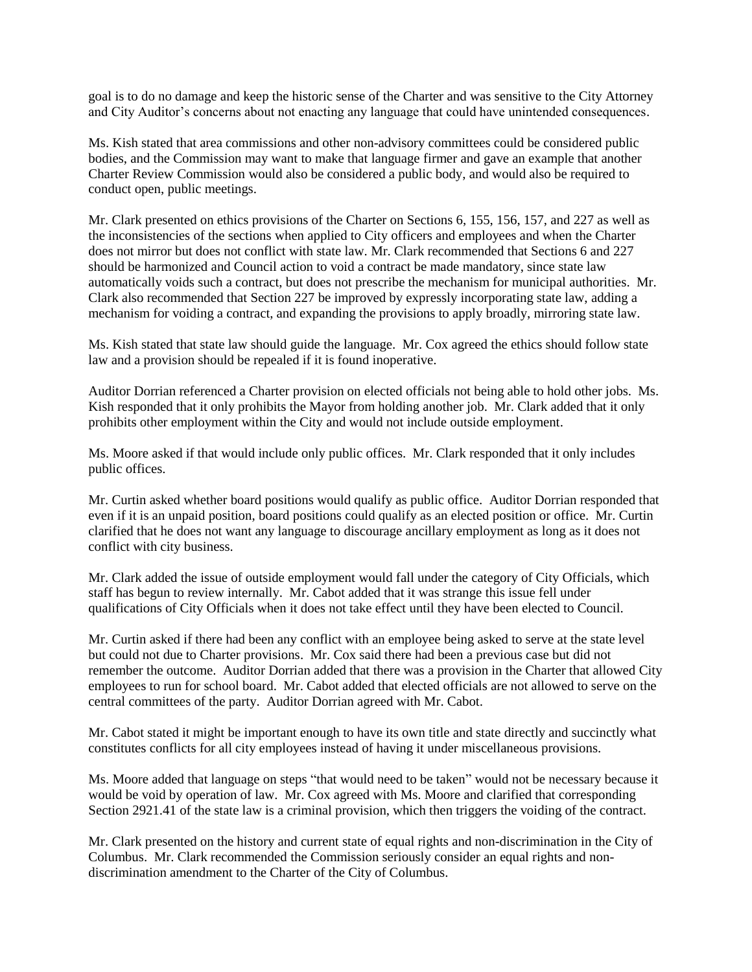goal is to do no damage and keep the historic sense of the Charter and was sensitive to the City Attorney and City Auditor's concerns about not enacting any language that could have unintended consequences.

Ms. Kish stated that area commissions and other non-advisory committees could be considered public bodies, and the Commission may want to make that language firmer and gave an example that another Charter Review Commission would also be considered a public body, and would also be required to conduct open, public meetings.

Mr. Clark presented on ethics provisions of the Charter on Sections 6, 155, 156, 157, and 227 as well as the inconsistencies of the sections when applied to City officers and employees and when the Charter does not mirror but does not conflict with state law. Mr. Clark recommended that Sections 6 and 227 should be harmonized and Council action to void a contract be made mandatory, since state law automatically voids such a contract, but does not prescribe the mechanism for municipal authorities. Mr. Clark also recommended that Section 227 be improved by expressly incorporating state law, adding a mechanism for voiding a contract, and expanding the provisions to apply broadly, mirroring state law.

Ms. Kish stated that state law should guide the language. Mr. Cox agreed the ethics should follow state law and a provision should be repealed if it is found inoperative.

Auditor Dorrian referenced a Charter provision on elected officials not being able to hold other jobs. Ms. Kish responded that it only prohibits the Mayor from holding another job. Mr. Clark added that it only prohibits other employment within the City and would not include outside employment.

Ms. Moore asked if that would include only public offices. Mr. Clark responded that it only includes public offices.

Mr. Curtin asked whether board positions would qualify as public office. Auditor Dorrian responded that even if it is an unpaid position, board positions could qualify as an elected position or office. Mr. Curtin clarified that he does not want any language to discourage ancillary employment as long as it does not conflict with city business.

Mr. Clark added the issue of outside employment would fall under the category of City Officials, which staff has begun to review internally. Mr. Cabot added that it was strange this issue fell under qualifications of City Officials when it does not take effect until they have been elected to Council.

Mr. Curtin asked if there had been any conflict with an employee being asked to serve at the state level but could not due to Charter provisions. Mr. Cox said there had been a previous case but did not remember the outcome. Auditor Dorrian added that there was a provision in the Charter that allowed City employees to run for school board. Mr. Cabot added that elected officials are not allowed to serve on the central committees of the party. Auditor Dorrian agreed with Mr. Cabot.

Mr. Cabot stated it might be important enough to have its own title and state directly and succinctly what constitutes conflicts for all city employees instead of having it under miscellaneous provisions.

Ms. Moore added that language on steps "that would need to be taken" would not be necessary because it would be void by operation of law. Mr. Cox agreed with Ms. Moore and clarified that corresponding Section 2921.41 of the state law is a criminal provision, which then triggers the voiding of the contract.

Mr. Clark presented on the history and current state of equal rights and non-discrimination in the City of Columbus. Mr. Clark recommended the Commission seriously consider an equal rights and nondiscrimination amendment to the Charter of the City of Columbus.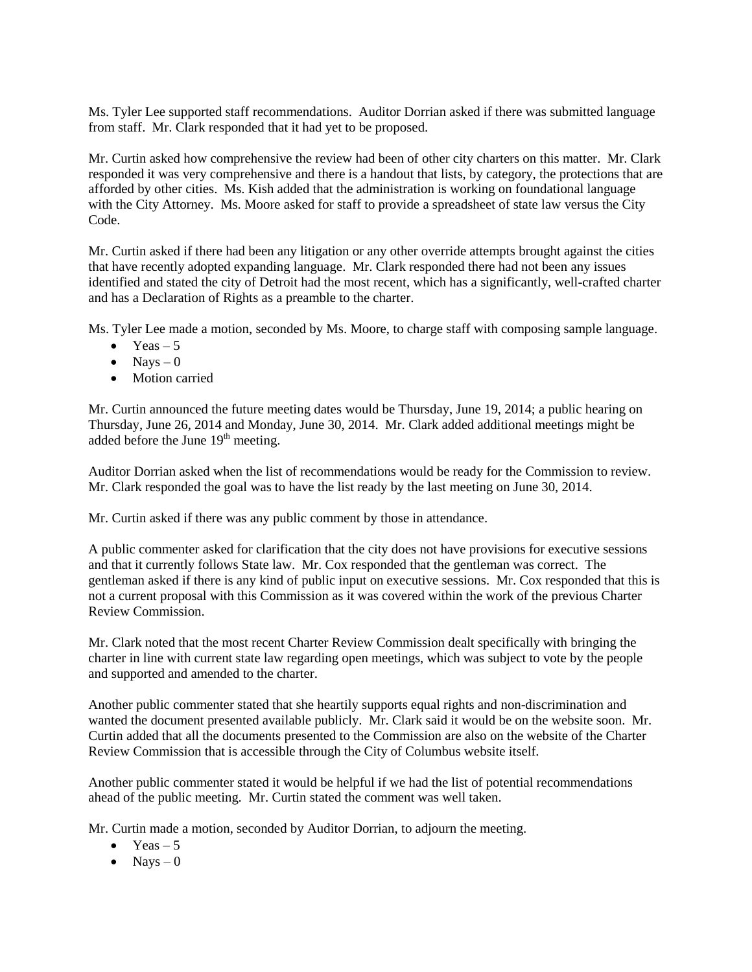Ms. Tyler Lee supported staff recommendations. Auditor Dorrian asked if there was submitted language from staff. Mr. Clark responded that it had yet to be proposed.

Mr. Curtin asked how comprehensive the review had been of other city charters on this matter. Mr. Clark responded it was very comprehensive and there is a handout that lists, by category, the protections that are afforded by other cities. Ms. Kish added that the administration is working on foundational language with the City Attorney. Ms. Moore asked for staff to provide a spreadsheet of state law versus the City Code.

Mr. Curtin asked if there had been any litigation or any other override attempts brought against the cities that have recently adopted expanding language. Mr. Clark responded there had not been any issues identified and stated the city of Detroit had the most recent, which has a significantly, well-crafted charter and has a Declaration of Rights as a preamble to the charter.

Ms. Tyler Lee made a motion, seconded by Ms. Moore, to charge staff with composing sample language.

- $\bullet$  Yeas 5
- $\bullet$  Nays  $-0$
- Motion carried

Mr. Curtin announced the future meeting dates would be Thursday, June 19, 2014; a public hearing on Thursday, June 26, 2014 and Monday, June 30, 2014. Mr. Clark added additional meetings might be added before the June 19<sup>th</sup> meeting.

Auditor Dorrian asked when the list of recommendations would be ready for the Commission to review. Mr. Clark responded the goal was to have the list ready by the last meeting on June 30, 2014.

Mr. Curtin asked if there was any public comment by those in attendance.

A public commenter asked for clarification that the city does not have provisions for executive sessions and that it currently follows State law. Mr. Cox responded that the gentleman was correct. The gentleman asked if there is any kind of public input on executive sessions. Mr. Cox responded that this is not a current proposal with this Commission as it was covered within the work of the previous Charter Review Commission.

Mr. Clark noted that the most recent Charter Review Commission dealt specifically with bringing the charter in line with current state law regarding open meetings, which was subject to vote by the people and supported and amended to the charter.

Another public commenter stated that she heartily supports equal rights and non-discrimination and wanted the document presented available publicly. Mr. Clark said it would be on the website soon. Mr. Curtin added that all the documents presented to the Commission are also on the website of the Charter Review Commission that is accessible through the City of Columbus website itself.

Another public commenter stated it would be helpful if we had the list of potential recommendations ahead of the public meeting. Mr. Curtin stated the comment was well taken.

Mr. Curtin made a motion, seconded by Auditor Dorrian, to adjourn the meeting.

- $\bullet$  Yeas 5
- $\bullet$  Nays 0